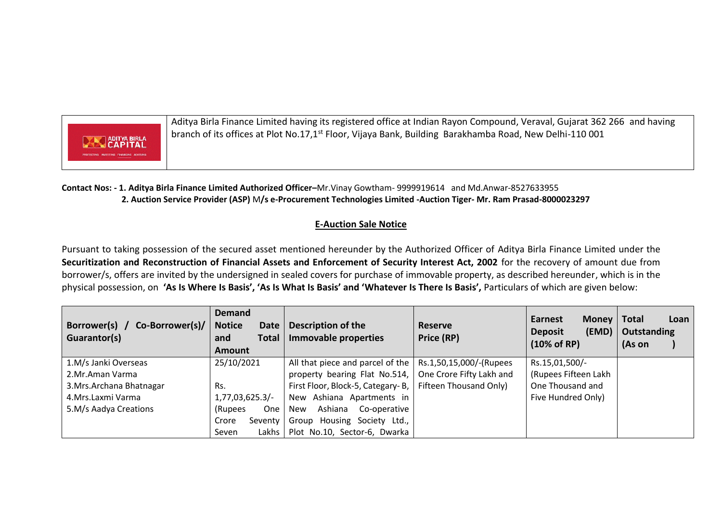

Aditya Birla Finance Limited having its registered office at Indian Rayon Compound, Veraval, Gujarat 362 266 and having branch of its offices at Plot No.17,1<sup>st</sup> Floor, Vijaya Bank, Building Barakhamba Road, New Delhi-110 001

**Contact Nos: - 1. Aditya Birla Finance Limited Authorized Officer–**Mr.Vinay Gowtham- 9999919614 and Md.Anwar-8527633955  **2. Auction Service Provider (ASP)** M**/s e-Procurement Technologies Limited -Auction Tiger- Mr. Ram Prasad-8000023297**

## **E-Auction Sale Notice**

Pursuant to taking possession of the secured asset mentioned hereunder by the Authorized Officer of Aditya Birla Finance Limited under the **Securitization and Reconstruction of Financial Assets and Enforcement of Security Interest Act, 2002** for the recovery of amount due from borrower/s, offers are invited by the undersigned in sealed covers for purchase of immovable property, as described hereunder, which is in the physical possession, on **'As Is Where Is Basis', 'As Is What Is Basis' and 'Whatever Is There Is Basis',** Particulars of which are given below:

| Borrower(s) /<br>Co-Borrower(s)/<br>Guarantor(s) | <b>Demand</b><br><b>Notice</b><br><b>Date</b><br><b>Total</b><br>and<br><b>Amount</b> | <b>Description of the</b><br>Immovable properties                | Reserve<br>Price (RP)    | Money   Total<br><b>Earnest</b><br>(EMD)<br><b>Deposit</b><br>$(10\% \text{ of RP})$ | Loan<br>Outstanding<br>(As on |
|--------------------------------------------------|---------------------------------------------------------------------------------------|------------------------------------------------------------------|--------------------------|--------------------------------------------------------------------------------------|-------------------------------|
| 1.M/s Janki Overseas                             | 25/10/2021                                                                            | All that piece and parcel of the $\vert$ Rs.1,50,15,000/-(Rupees |                          | Rs.15,01,500/-                                                                       |                               |
| 2.Mr.Aman Varma                                  |                                                                                       | property bearing Flat No.514,                                    | One Crore Fifty Lakh and | (Rupees Fifteen Lakh                                                                 |                               |
| 3. Mrs. Archana Bhatnagar                        | Rs.                                                                                   | First Floor, Block-5, Categary-B,                                | Fifteen Thousand Only)   | One Thousand and                                                                     |                               |
| 4.Mrs.Laxmi Varma                                | 1,77,03,625.3/                                                                        | New Ashiana Apartments in                                        |                          | Five Hundred Only)                                                                   |                               |
| 5.M/s Aadya Creations                            | <b>One</b><br>(Rupees)                                                                | Ashiana<br>Co-operative<br>New                                   |                          |                                                                                      |                               |
|                                                  | Seventy<br>Crore                                                                      | Group Housing Society Ltd.,                                      |                          |                                                                                      |                               |
|                                                  | Lakhs<br>Seven                                                                        | Plot No.10, Sector-6, Dwarka                                     |                          |                                                                                      |                               |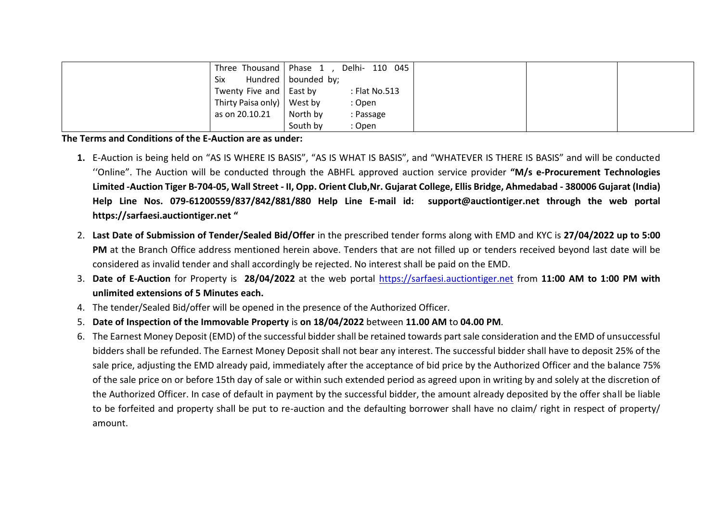|                | Three Thousand   Phase $1$ , | Delhi- 110 045 |  |  |
|----------------|------------------------------|----------------|--|--|
| Six            | Hundred   bounded by;        |                |  |  |
|                | Twenty Five and   East by    | : Flat No.513  |  |  |
|                | Thirty Paisa only)   West by | : Open         |  |  |
| as on 20.10.21 | North by                     | : Passage      |  |  |
|                | South by                     | : Open         |  |  |

## **The Terms and Conditions of the E-Auction are as under:**

- **1.** E-Auction is being held on "AS IS WHERE IS BASIS", "AS IS WHAT IS BASIS", and "WHATEVER IS THERE IS BASIS" and will be conducted ''Online". The Auction will be conducted through the ABHFL approved auction service provider **"M/s e-Procurement Technologies Limited -Auction Tiger B-704-05, Wall Street - II, Opp. Orient Club,Nr. Gujarat College, Ellis Bridge, Ahmedabad - 380006 Gujarat (India) Help Line Nos. 079-61200559/837/842/881/880 Help Line E-mail id: [support@auctiontiger.net](mailto:support@auctiontiger.net) through the web portal [https://sarfaesi.auctiontiger.net](https://sarfaesi.auctiontiger.net/) "**
- 2. **Last Date of Submission of Tender/Sealed Bid/Offer** in the prescribed tender forms along with EMD and KYC is **27/04/2022 up to 5:00 PM** at the Branch Office address mentioned herein above. Tenders that are not filled up or tenders received beyond last date will be considered as invalid tender and shall accordingly be rejected. No interest shall be paid on the EMD.
- 3. **Date of E-Auction** for Property is **28/04/2022** at the web portal [https://sarfaesi.auctiontiger.net](https://sarfaesi.auctiontiger.net/) from **11:00 AM to 1:00 PM with unlimited extensions of 5 Minutes each.**
- 4. The tender/Sealed Bid/offer will be opened in the presence of the Authorized Officer.
- 5. **Date of Inspection of the Immovable Property** is **on 18/04/2022** between **11.00 AM** to **04.00 PM**.
- 6. The Earnest Money Deposit (EMD) of the successful bidder shall be retained towards part sale consideration and the EMD of unsuccessful bidders shall be refunded. The Earnest Money Deposit shall not bear any interest. The successful bidder shall have to deposit 25% of the sale price, adjusting the EMD already paid, immediately after the acceptance of bid price by the Authorized Officer and the balance 75% of the sale price on or before 15th day of sale or within such extended period as agreed upon in writing by and solely at the discretion of the Authorized Officer. In case of default in payment by the successful bidder, the amount already deposited by the offer shall be liable to be forfeited and property shall be put to re-auction and the defaulting borrower shall have no claim/ right in respect of property/ amount.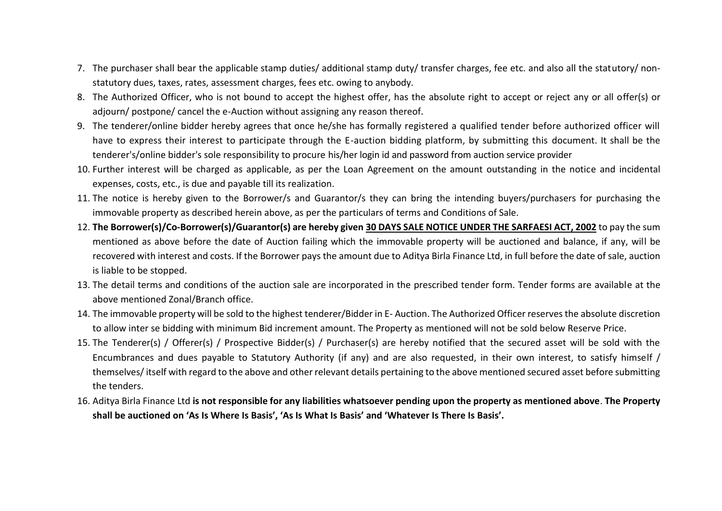- 7. The purchaser shall bear the applicable stamp duties/ additional stamp duty/ transfer charges, fee etc. and also all the statutory/ nonstatutory dues, taxes, rates, assessment charges, fees etc. owing to anybody.
- 8. The Authorized Officer, who is not bound to accept the highest offer, has the absolute right to accept or reject any or all offer(s) or adjourn/ postpone/ cancel the e-Auction without assigning any reason thereof.
- 9. The tenderer/online bidder hereby agrees that once he/she has formally registered a qualified tender before authorized officer will have to express their interest to participate through the E-auction bidding platform, by submitting this document. It shall be the tenderer's/online bidder's sole responsibility to procure his/her login id and password from auction service provider
- 10. Further interest will be charged as applicable, as per the Loan Agreement on the amount outstanding in the notice and incidental expenses, costs, etc., is due and payable till its realization.
- 11. The notice is hereby given to the Borrower/s and Guarantor/s they can bring the intending buyers/purchasers for purchasing the immovable property as described herein above, as per the particulars of terms and Conditions of Sale.
- 12. **The Borrower(s)/Co-Borrower(s)/Guarantor(s) are hereby given 30 DAYS SALE NOTICE UNDER THE SARFAESI ACT, 2002** to pay the sum mentioned as above before the date of Auction failing which the immovable property will be auctioned and balance, if any, will be recovered with interest and costs. If the Borrower pays the amount due to Aditya Birla Finance Ltd, in full before the date of sale, auction is liable to be stopped.
- 13. The detail terms and conditions of the auction sale are incorporated in the prescribed tender form. Tender forms are available at the above mentioned Zonal/Branch office.
- 14. The immovable property will be sold to the highest tenderer/Bidder in E- Auction. The Authorized Officer reserves the absolute discretion to allow inter se bidding with minimum Bid increment amount. The Property as mentioned will not be sold below Reserve Price.
- 15. The Tenderer(s) / Offerer(s) / Prospective Bidder(s) / Purchaser(s) are hereby notified that the secured asset will be sold with the Encumbrances and dues payable to Statutory Authority (if any) and are also requested, in their own interest, to satisfy himself / themselves/ itself with regard to the above and other relevant details pertaining to the above mentioned secured asset before submitting the tenders.
- 16. Aditya Birla Finance Ltd **is not responsible for any liabilities whatsoever pending upon the property as mentioned above**. **The Property shall be auctioned on 'As Is Where Is Basis', 'As Is What Is Basis' and 'Whatever Is There Is Basis'.**